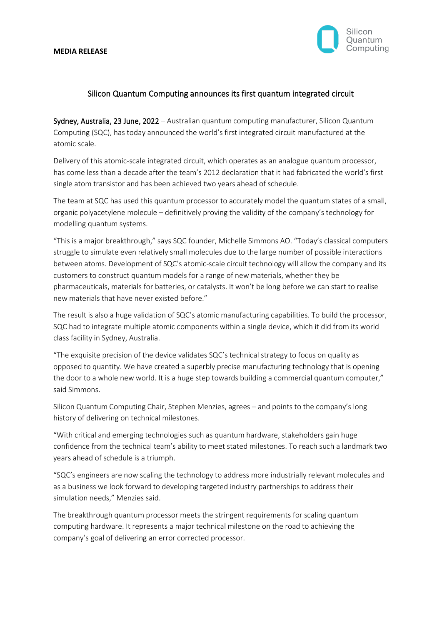#### **MEDIA RELEASE**



# Silicon Quantum Computing announces its first quantum integrated circuit

Sydney, Australia, 23 June, 2022 – Australian quantum computing manufacturer, Silicon Quantum Computing (SQC), has today announced the world's first integrated circuit manufactured at the atomic scale.

Delivery of this atomic-scale integrated circuit, which operates as an analogue quantum processor, has come less than a decade after the team's 2012 declaration that it had fabricated the world's first single atom transistor and has been achieved two years ahead of schedule.

The team at SQC has used this quantum processor to accurately model the quantum states of a small, organic polyacetylene molecule – definitively proving the validity of the company's technology for modelling quantum systems.

"This is a major breakthrough," says SQC founder, Michelle Simmons AO. "Today's classical computers struggle to simulate even relatively small molecules due to the large number of possible interactions between atoms. Development of SQC's atomic-scale circuit technology will allow the company and its customers to construct quantum models for a range of new materials, whether they be pharmaceuticals, materials for batteries, or catalysts. It won't be long before we can start to realise new materials that have never existed before."

The result is also a huge validation of SQC's atomic manufacturing capabilities. To build the processor, SQC had to integrate multiple atomic components within a single device, which it did from its world class facility in Sydney, Australia.

"The exquisite precision of the device validates SQC's technical strategy to focus on quality as opposed to quantity. We have created a superbly precise manufacturing technology that is opening the door to a whole new world. It is a huge step towards building a commercial quantum computer," said Simmons.

Silicon Quantum Computing Chair, Stephen Menzies, agrees – and points to the company's long history of delivering on technical milestones.

"With critical and emerging technologies such as quantum hardware, stakeholders gain huge confidence from the technical team's ability to meet stated milestones. To reach such a landmark two years ahead of schedule is a triumph.

"SQC's engineers are now scaling the technology to address more industrially relevant molecules and as a business we look forward to developing targeted industry partnerships to address their simulation needs," Menzies said.

The breakthrough quantum processor meets the stringent requirements for scaling quantum computing hardware. It represents a major technical milestone on the road to achieving the company's goal of delivering an error corrected processor.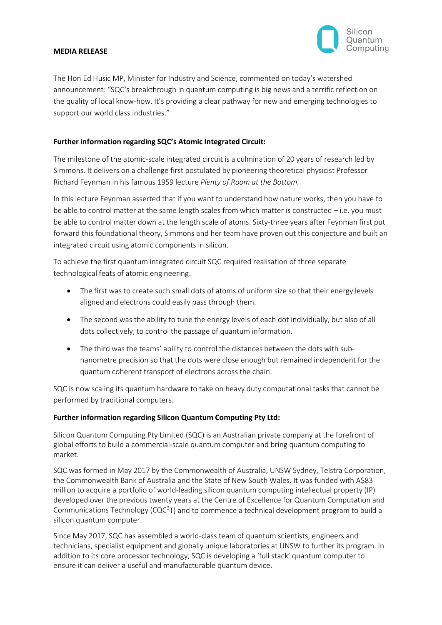

### **MEDIA RELEASE**

The Hon Ed Husic MP, Minister for Industry and Science, commented on today's watershed announcement: "SQC's breakthrough in quantum computing is big news and a terrific reflection on the quality of local know-how. It's providing a clear pathway for new and emerging technologies to support our world class industries."

### **Further information regarding SQC's Atomic Integrated Circuit:**

The milestone of the atomic-scale integrated circuit is a culmination of 20 years of research led by Simmons. It delivers on a challenge first postulated by pioneering theoretical physicist Professor Richard Feynman in his famous 1959 lecture *Plenty of Room at the Bottom.*

In this lecture Feynman asserted that if you want to understand how nature works, then you have to be able to control matter at the same length scales from which matter is constructed – i.e. you must be able to control matter down at the length scale of atoms. Sixty-three years after Feynman first put forward this foundational theory, Simmons and her team have proven out this conjecture and built an integrated circuit using atomic components in silicon.

To achieve the first quantum integrated circuit SQC required realisation of three separate technological feats of atomic engineering.

- The first was to create such small dots of atoms of uniform size so that their energy levels aligned and electrons could easily pass through them.
- The second was the ability to tune the energy levels of each dot individually, but also of all dots collectively, to control the passage of quantum information.
- The third was the teams' ability to control the distances between the dots with subnanometre precision so that the dots were close enough but remained independent for the quantum coherent transport of electrons across the chain.

SQC is now scaling its quantum hardware to take on heavy duty computational tasks that cannot be performed by traditional computers.

### **Further information regarding Silicon Quantum Computing Pty Ltd:**

Silicon Quantum Computing Pty Limited (SQC) is an Australian private company at the forefront of global efforts to build a commercial-scale quantum computer and bring quantum computing to market.

SQC was formed in May 2017 by the Commonwealth of Australia, UNSW Sydney, Telstra Corporation, the Commonwealth Bank of Australia and the State of New South Wales. It was funded with A\$83 million to acquire a portfolio of world-leading silicon quantum computing intellectual property (IP) developed over the previous twenty years at the Centre of Excellence for Quantum Computation and Communications Technology (CQC<sup>2</sup>T) and to commence a technical development program to build a silicon quantum computer.

Since May 2017, SQC has assembled a world-class team of quantum scientists, engineers and technicians, specialist equipment and globally unique laboratories at UNSW to further its program. In addition to its core processor technology, SQC is developing a 'full stack' quantum computer to ensure it can deliver a useful and manufacturable quantum device.